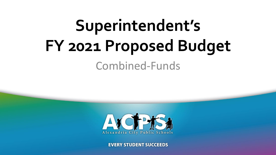## **Superintendent's FY 2021 Proposed Budget** Combined-Funds



www.accentraction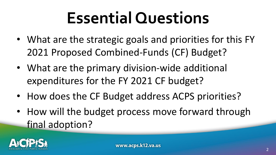## **Essential Questions**

- What are the strategic goals and priorities for this FY 2021 Proposed Combined-Funds (CF) Budget?
- What are the primary division-wide additional expenditures for the FY 2021 CF budget?
- How does the CF Budget address ACPS priorities?
- How will the budget process move forward through final adoption?

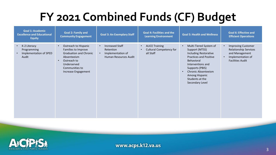#### **FY 2021 Combined Funds (CF) Budget**

| <b>Goal 1: Academic</b><br><b>Excellence and Educational</b><br><b>Equity</b>            | <b>Goal 2: Family and</b><br><b>Community Engagement</b>                                                                                                                        | <b>Goal 3: An Exemplary Staff</b>                                                                           | <b>Goal 4: Facilities and the</b><br><b>Learning Environment</b>                               | <b>Goal 5: Health and Wellness</b>                                                                                                                                                                                                             | <b>Goal 6: Effective and</b><br><b>Efficient Operations</b>                                                                                           |
|------------------------------------------------------------------------------------------|---------------------------------------------------------------------------------------------------------------------------------------------------------------------------------|-------------------------------------------------------------------------------------------------------------|------------------------------------------------------------------------------------------------|------------------------------------------------------------------------------------------------------------------------------------------------------------------------------------------------------------------------------------------------|-------------------------------------------------------------------------------------------------------------------------------------------------------|
| K-2 Literacy<br>$\bullet$<br>Programming<br>Implementation of SPED<br>$\bullet$<br>Audit | Outreach to Hispanic<br>$\bullet$<br>Families to Improve<br><b>Graduation and Chronic</b><br>Absenteeism<br>Outreach to<br>Underserved<br>Communities to<br>Increase Engagement | <b>Increased Staff</b><br>$\bullet$<br>Retention<br>Implementation of<br>$\bullet$<br>Human Resources Audit | <b>ALICE Training</b><br>$\bullet$<br><b>Cultural Competency for</b><br>$\bullet$<br>all Staff | Multi-Tiered System of<br>Support (MTSS)<br>Including Restorative<br><b>Practices and Positive</b><br>Behavioral<br>Interventions and<br>Supports (PBIS)<br><b>Chronic Absenteeism</b><br>Among Hispanic<br>Students at the<br>Secondary Level | <b>Improving Customer</b><br>$\bullet$<br><b>Relationship Services</b><br>and Management<br>Implementation of<br>$\bullet$<br><b>Facilities Audit</b> |

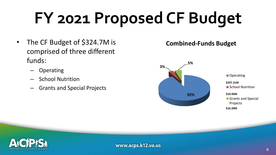# **FY 2021 Proposed CF Budget**

- The CF Budget of \$324.7M is comprised of three different funds:
	- Operating
	- School Nutrition
	- Grants and Special Projects

#### **Combined-Funds Budget**



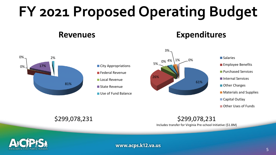### **FY 2021 Proposed Operating Budget**

#### **Revenues Expenditures**



#### \$299,078,231 \$299,078,231 Includes transfer for Virginia Pre-school Initiative (\$1.8M)

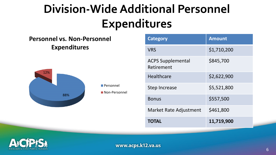#### **Division-Wide Additional Personnel Expenditures**

#### **Personnel vs. Non-Personnel Expenditures**



**Personnel** 

**Non-Personnel** 

| <b>Category</b>                        | <b>Amount</b> |
|----------------------------------------|---------------|
| <b>VRS</b>                             | \$1,710,200   |
| <b>ACPS Supplemental</b><br>Retirement | \$845,700     |
| Healthcare                             | \$2,622,900   |
| Step Increase                          | \$5,521,800   |
| <b>Bonus</b>                           | \$557,500     |
| Market Rate Adjustment                 | \$461,800     |
| TOTAL                                  | 11,719,900    |

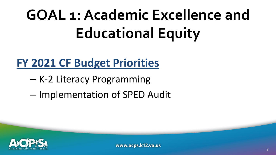# **GOAL 1: Academic Excellence and Educational Equity**

#### **FY 2021 CF Budget Priorities**

- K-2 Literacy Programming
- Implementation of SPED Audit

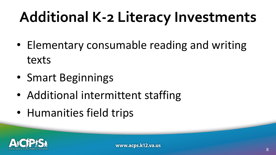### **Additional K-2 Literacy Investments**

- Elementary consumable reading and writing texts
- Smart Beginnings
- Additional intermittent staffing
- Humanities field trips

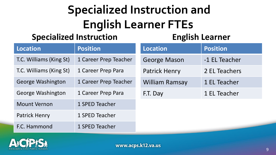#### **Specialized Instruction and English Learner FTEs**

#### **Specialized Instruction**

#### **English Learner**

| <b>Location</b>         | <b>Position</b>       | <b>Location</b>       | <b>Position</b> |
|-------------------------|-----------------------|-----------------------|-----------------|
| T.C. Williams (King St) | 1 Career Prep Teacher | <b>George Mason</b>   | -1 EL Teacher   |
| T.C. Williams (King St) | 1 Career Prep Para    | <b>Patrick Henry</b>  | 2 EL Teachers   |
| George Washington       | 1 Career Prep Teacher | <b>William Ramsay</b> | 1 EL Teacher    |
| George Washington       | 1 Career Prep Para    | F.T. Day              | 1 EL Teacher    |
| <b>Mount Vernon</b>     | 1 SPED Teacher        |                       |                 |
| <b>Patrick Henry</b>    | 1 SPED Teacher        |                       |                 |
| F.C. Hammond            | 1 SPED Teacher        |                       |                 |

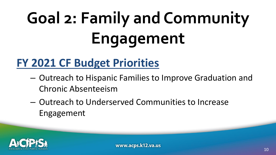# **Goal 2: Family and Community Engagement**

#### **FY 2021 CF Budget Priorities**

- Outreach to Hispanic Families to Improve Graduation and Chronic Absenteeism
- Outreach to Underserved Communities to Increase Engagement

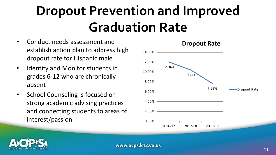### **Dropout Prevention and Improved Graduation Rate**

- Conduct needs assessment and establish action plan to address high dropout rate for Hispanic male
- Identify and Monitor students in grades 6-12 who are chronically absent
- School Counseling is focused on strong academic advising practices and connecting students to areas of interest/passion





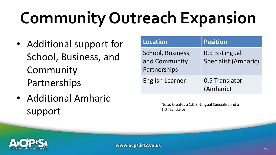# **Community Outreach Expansion**

- Additional support for School, Business, and Community Partnerships
- Additional Amharic support

| <b>Location</b>                                    | Position                               |
|----------------------------------------------------|----------------------------------------|
| School, Business,<br>and Community<br>Partnerships | 0.5 Bi-Lingual<br>Specialist (Amharic) |
| English Learner                                    | 0.5 Translator<br>(Amharic)            |

Note: Creates a 1.0 Bi-Lingual Specialist and a 1.0 Translator

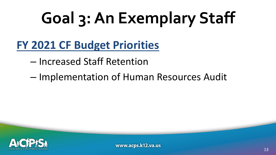# **Goal 3: An Exemplary Staff**

**FY 2021 CF Budget Priorities**

– Increased Staff Retention

– Implementation of Human Resources Audit

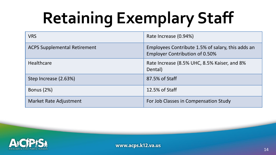# **Retaining Exemplary Staff**

| <b>VRS</b>                          | Rate Increase (0.94%)                                                                      |
|-------------------------------------|--------------------------------------------------------------------------------------------|
| <b>ACPS Supplemental Retirement</b> | Employees Contribute 1.5% of salary, this adds an<br><b>Employer Contribution of 0.50%</b> |
| <b>Healthcare</b>                   | Rate Increase (8.5% UHC, 8.5% Kaiser, and 8%<br>Dental)                                    |
| Step Increase (2.63%)               | 87.5% of Staff                                                                             |
| <b>Bonus (2%)</b>                   | 12.5% of Staff                                                                             |
| Market Rate Adjustment              | For Job Classes in Compensation Study                                                      |

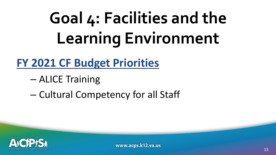# **Goal 4: Facilities and the Learning Environment**

#### **FY 2021 CF Budget Priorities**

- ALICE Training
- Cultural Competency for all Staff

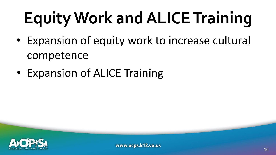# **Equity Work and ALICE Training**

- Expansion of equity work to increase cultural competence
- Expansion of ALICE Training

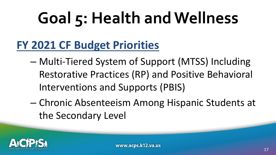# **Goal 5: Health and Wellness**

#### **FY 2021 CF Budget Priorities**

- Multi-Tiered System of Support (MTSS) Including Restorative Practices (RP) and Positive Behavioral Interventions and Supports (PBIS)
- Chronic Absenteeism Among Hispanic Students at the Secondary Level

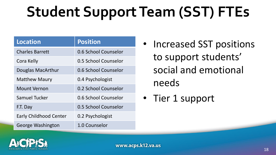### **Student Support Team (SST) FTEs**

| <b>Location</b>               | <b>Position</b>      |
|-------------------------------|----------------------|
| <b>Charles Barrett</b>        | 0.6 School Counselor |
| Cora Kelly                    | 0.5 School Counselor |
| Douglas MacArthur             | 0.6 School Counselor |
| <b>Matthew Maury</b>          | 0.4 Psychologist     |
| <b>Mount Vernon</b>           | 0.2 School Counselor |
| Samuel Tucker                 | 0.6 School Counselor |
| F.T. Day                      | 0.5 School Counselor |
| <b>Early Childhood Center</b> | 0.2 Psychologist     |
| George Washington             | 1.0 Counselor        |

- Increased SST positions to support students' social and emotional needs
- Tier 1 support

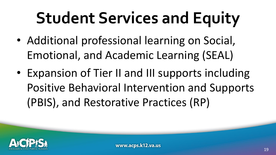# **Student Services and Equity**

- Additional professional learning on Social, Emotional, and Academic Learning (SEAL)
- Expansion of Tier II and III supports including Positive Behavioral Intervention and Supports (PBIS), and Restorative Practices (RP)

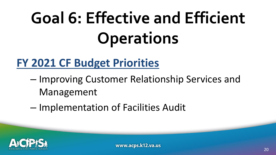# **Goal 6: Effective and Efficient Operations**

#### **FY 2021 CF Budget Priorities**

- Improving Customer Relationship Services and Management
- Implementation of Facilities Audit

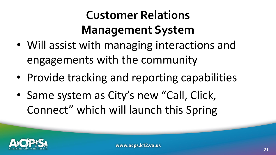#### **Customer Relations Management System**

- Will assist with managing interactions and engagements with the community
- Provide tracking and reporting capabilities
- Same system as City's new "Call, Click, Connect" which will launch this Spring

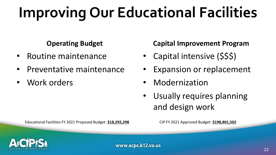### **Improving Our Educational Facilities**

#### **Operating Budget**

- Routine maintenance
- Preventative maintenance
- Work orders

#### **Capital Improvement Program**

- Capital intensive (\$\$\$)
- Expansion or replacement
- Modernization
- Usually requires planning and design work

Educational Facilities FY 2021 Proposed Budget: **\$18,292,298** CIP FY 2021 Approved Budget: **\$198,801,502**

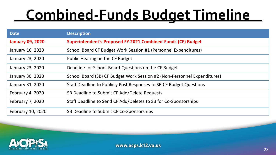### **Combined-Funds Budget Timeline**

| <b>Date</b>             | <b>Description</b>                                                       |
|-------------------------|--------------------------------------------------------------------------|
| <b>January 09, 2020</b> | Superintendent's Proposed FY 2021 Combined-Funds (CF) Budget             |
| January 16, 2020        | School Board CF Budget Work Session #1 (Personnel Expenditures)          |
| January 23, 2020        | Public Hearing on the CF Budget                                          |
| January 23, 2020        | Deadline for School-Board Questions on the CF Budget                     |
| January 30, 2020        | School Board (SB) CF Budget Work Session #2 (Non-Personnel Expenditures) |
| January 31, 2020        | Staff Deadline to Publicly Post Responses to SB CF Budget Questions      |
| February 4, 2020        | SB Deadline to Submit CF Add/Delete Requests                             |
| February 7, 2020        | Staff Deadline to Send CF Add/Deletes to SB for Co-Sponsorships          |
| February 10, 2020       | SB Deadline to Submit CF Co-Sponsorships                                 |

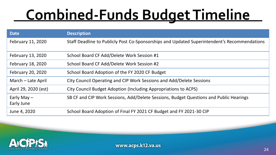### **Combined-Funds Budget Timeline**

| <b>Date</b>                 | <b>Description</b>                                                                           |
|-----------------------------|----------------------------------------------------------------------------------------------|
| February 11, 2020           | Staff Deadline to Publicly Post Co-Sponsorships and Updated Superintendent's Recommendations |
| February 13, 2020           | School Board CF Add/Delete Work Session #1                                                   |
| February 18, 2020           | School Board CF Add/Delete Work Session #2                                                   |
| February 20, 2020           | School Board Adoption of the FY 2020 CF Budget                                               |
| March - Late April          | City Council Operating and CIP Work Sessions and Add/Delete Sessions                         |
| April 29, 2020 (est)        | City Council Budget Adoption (Including Appropriations to ACPS)                              |
| Early May $-$<br>Early June | SB CF and CIP Work Sessions, Add/Delete Sessions, Budget Questions and Public Hearings       |
| June 4, 2020                | School Board Adoption of Final FY 2021 CF Budget and FY 2021-30 CIP                          |